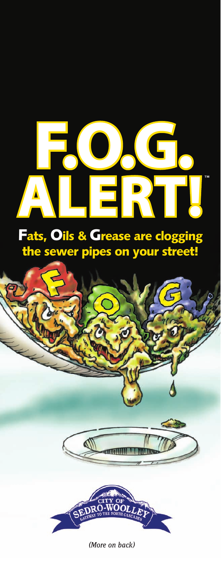## **F.O.G. ALERT!**

## Fats, Oils & Grease are clogging the sewer pipes on your street!



*(More on back)*